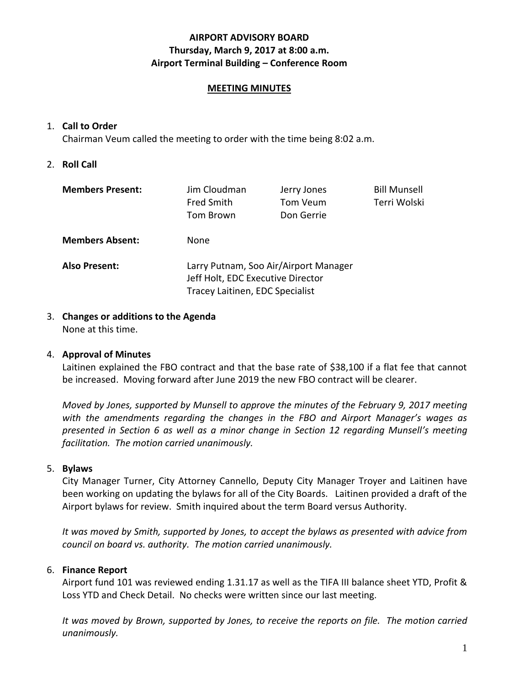# **AIRPORT ADVISORY BOARD Thursday, March 9, 2017 at 8:00 a.m. Airport Terminal Building – Conference Room**

### **MEETING MINUTES**

## 1. **Call to Order**

Chairman Veum called the meeting to order with the time being 8:02 a.m.

2. **Roll Call**

| <b>Members Present:</b> | Jim Cloudman<br><b>Fred Smith</b><br>Tom Brown                                                                | Jerry Jones<br>Tom Veum<br>Don Gerrie | <b>Bill Munsell</b><br>Terri Wolski |
|-------------------------|---------------------------------------------------------------------------------------------------------------|---------------------------------------|-------------------------------------|
| <b>Members Absent:</b>  | None.                                                                                                         |                                       |                                     |
| <b>Also Present:</b>    | Larry Putnam, Soo Air/Airport Manager<br>Jeff Holt, EDC Executive Director<br>Tracey Laitinen, EDC Specialist |                                       |                                     |

3. **Changes or additions to the Agenda** None at this time.

# 4. **Approval of Minutes**

Laitinen explained the FBO contract and that the base rate of \$38,100 if a flat fee that cannot be increased. Moving forward after June 2019 the new FBO contract will be clearer.

*Moved by Jones, supported by Munsell to approve the minutes of the February 9, 2017 meeting with the amendments regarding the changes in the FBO and Airport Manager's wages as presented in Section 6 as well as a minor change in Section 12 regarding Munsell's meeting facilitation. The motion carried unanimously.*

### 5. **Bylaws**

City Manager Turner, City Attorney Cannello, Deputy City Manager Troyer and Laitinen have been working on updating the bylaws for all of the City Boards. Laitinen provided a draft of the Airport bylaws for review. Smith inquired about the term Board versus Authority.

*It was moved by Smith, supported by Jones, to accept the bylaws as presented with advice from council on board vs. authority. The motion carried unanimously.*

# 6. **Finance Report**

Airport fund 101 was reviewed ending 1.31.17 as well as the TIFA III balance sheet YTD, Profit & Loss YTD and Check Detail. No checks were written since our last meeting.

*It was moved by Brown, supported by Jones, to receive the reports on file. The motion carried unanimously.*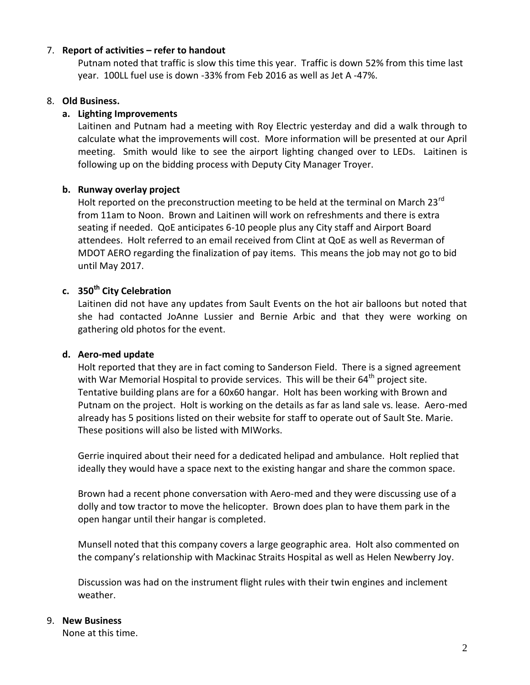### 7. **Report of activities – refer to handout**

Putnam noted that traffic is slow this time this year. Traffic is down 52% from this time last year. 100LL fuel use is down -33% from Feb 2016 as well as Jet A -47%.

### 8. **Old Business.**

### **a. Lighting Improvements**

Laitinen and Putnam had a meeting with Roy Electric yesterday and did a walk through to calculate what the improvements will cost. More information will be presented at our April meeting. Smith would like to see the airport lighting changed over to LEDs. Laitinen is following up on the bidding process with Deputy City Manager Troyer.

### **b. Runway overlay project**

Holt reported on the preconstruction meeting to be held at the terminal on March 23<sup>rd</sup> from 11am to Noon. Brown and Laitinen will work on refreshments and there is extra seating if needed. QoE anticipates 6-10 people plus any City staff and Airport Board attendees. Holt referred to an email received from Clint at QoE as well as Reverman of MDOT AERO regarding the finalization of pay items. This means the job may not go to bid until May 2017.

# **c. 350th City Celebration**

Laitinen did not have any updates from Sault Events on the hot air balloons but noted that she had contacted JoAnne Lussier and Bernie Arbic and that they were working on gathering old photos for the event.

#### **d. Aero-med update**

Holt reported that they are in fact coming to Sanderson Field. There is a signed agreement with War Memorial Hospital to provide services. This will be their  $64<sup>th</sup>$  project site. Tentative building plans are for a 60x60 hangar. Holt has been working with Brown and Putnam on the project. Holt is working on the details as far as land sale vs. lease. Aero-med already has 5 positions listed on their website for staff to operate out of Sault Ste. Marie. These positions will also be listed with MIWorks.

Gerrie inquired about their need for a dedicated helipad and ambulance. Holt replied that ideally they would have a space next to the existing hangar and share the common space.

Brown had a recent phone conversation with Aero-med and they were discussing use of a dolly and tow tractor to move the helicopter. Brown does plan to have them park in the open hangar until their hangar is completed.

Munsell noted that this company covers a large geographic area. Holt also commented on the company's relationship with Mackinac Straits Hospital as well as Helen Newberry Joy.

Discussion was had on the instrument flight rules with their twin engines and inclement weather.

### 9. **New Business**

None at this time.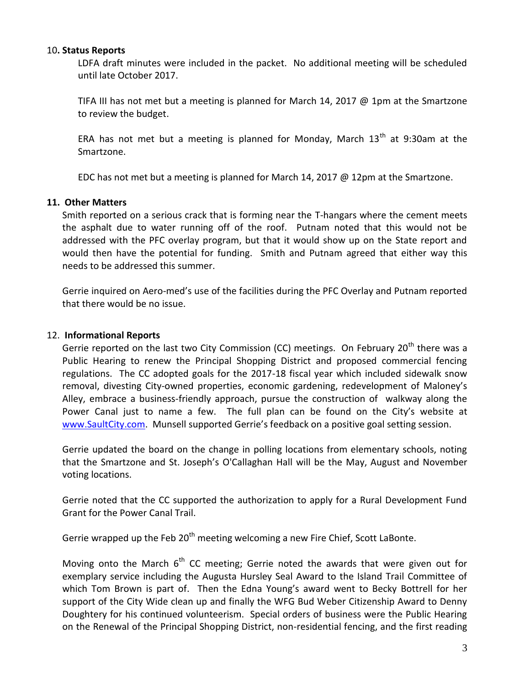### 10**. Status Reports**

LDFA draft minutes were included in the packet. No additional meeting will be scheduled until late October 2017.

TIFA III has not met but a meeting is planned for March 14, 2017 @ 1pm at the Smartzone to review the budget.

ERA has not met but a meeting is planned for Monday, March  $13<sup>th</sup>$  at 9:30am at the Smartzone.

EDC has not met but a meeting is planned for March 14, 2017 @ 12pm at the Smartzone.

### **11. Other Matters**

Smith reported on a serious crack that is forming near the T-hangars where the cement meets the asphalt due to water running off of the roof. Putnam noted that this would not be addressed with the PFC overlay program, but that it would show up on the State report and would then have the potential for funding. Smith and Putnam agreed that either way this needs to be addressed this summer.

Gerrie inquired on Aero-med's use of the facilities during the PFC Overlay and Putnam reported that there would be no issue.

### 12. **Informational Reports**

Gerrie reported on the last two City Commission (CC) meetings. On February 20<sup>th</sup> there was a Public Hearing to renew the Principal Shopping District and proposed commercial fencing regulations. The CC adopted goals for the 2017-18 fiscal year which included sidewalk snow removal, divesting City-owned properties, economic gardening, redevelopment of Maloney's Alley, embrace a business-friendly approach, pursue the construction of walkway along the Power Canal just to name a few. The full plan can be found on the City's website at [www.SaultCity.com](http://www.saultcity.com/). Munsell supported Gerrie's feedback on a positive goal setting session.

Gerrie updated the board on the change in polling locations from elementary schools, noting that the Smartzone and St. Joseph's O'Callaghan Hall will be the May, August and November voting locations.

Gerrie noted that the CC supported the authorization to apply for a Rural Development Fund Grant for the Power Canal Trail.

Gerrie wrapped up the Feb  $20<sup>th</sup>$  meeting welcoming a new Fire Chief, Scott LaBonte.

Moving onto the March  $6<sup>th</sup>$  CC meeting; Gerrie noted the awards that were given out for exemplary service including the Augusta Hursley Seal Award to the Island Trail Committee of which Tom Brown is part of. Then the Edna Young's award went to Becky Bottrell for her support of the City Wide clean up and finally the WFG Bud Weber Citizenship Award to Denny Doughtery for his continued volunteerism. Special orders of business were the Public Hearing on the Renewal of the Principal Shopping District, non-residential fencing, and the first reading